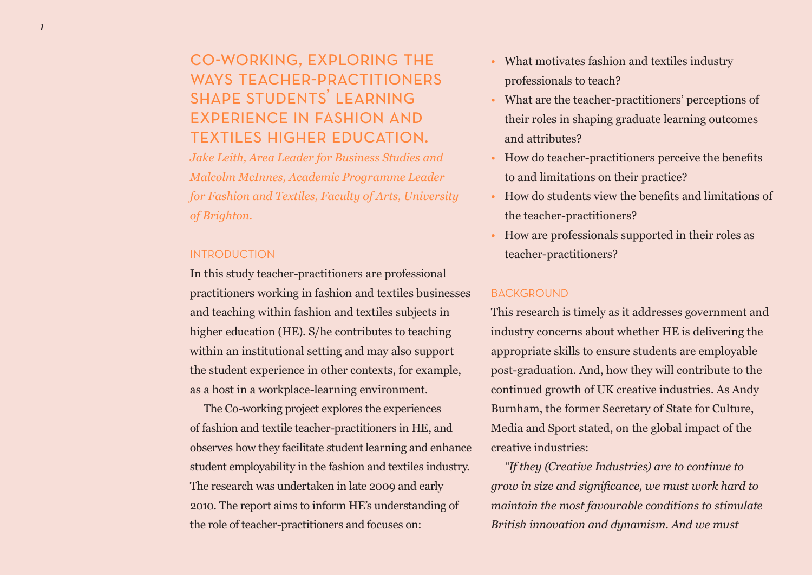# co-working, exploring the WAYS TEACHER-PRACTITIONERS shape students' learning experience in fashion and textiles higher education.

*Jake Leith, Area Leader for Business Studies and Malcolm McInnes, Academic Programme Leader for Fashion and Textiles, Faculty of Arts, University of Brighton.*

# INTRODUCTION

In this study teacher-practitioners are professional practitioners working in fashion and textiles businesses and teaching within fashion and textiles subjects in higher education (HE). S/he contributes to teaching within an institutional setting and may also support the student experience in other contexts, for example, as a host in a workplace-learning environment.

The Co-working project explores the experiences of fashion and textile teacher-practitioners in HE, and observes how they facilitate student learning and enhance student employability in the fashion and textiles industry. The research was undertaken in late 2009 and early 2010. The report aims to inform HE's understanding of the role of teacher-practitioners and focuses on:

- What motivates fashion and textiles industry professionals to teach?
- What are the teacher-practitioners' perceptions of their roles in shaping graduate learning outcomes and attributes?
- How do teacher-practitioners perceive the benefits to and limitations on their practice?
- How do students view the benefits and limitations of the teacher-practitioners?
- How are professionals supported in their roles as teacher-practitioners?

## BACKGROUND

This research is timely as it addresses government and industry concerns about whether HE is delivering the appropriate skills to ensure students are employable post-graduation. And, how they will contribute to the continued growth of UK creative industries. As Andy Burnham, the former Secretary of State for Culture, Media and Sport stated, on the global impact of the creative industries:

*"If they (Creative Industries) are to continue to grow in size and significance, we must work hard to maintain the most favourable conditions to stimulate British innovation and dynamism. And we must*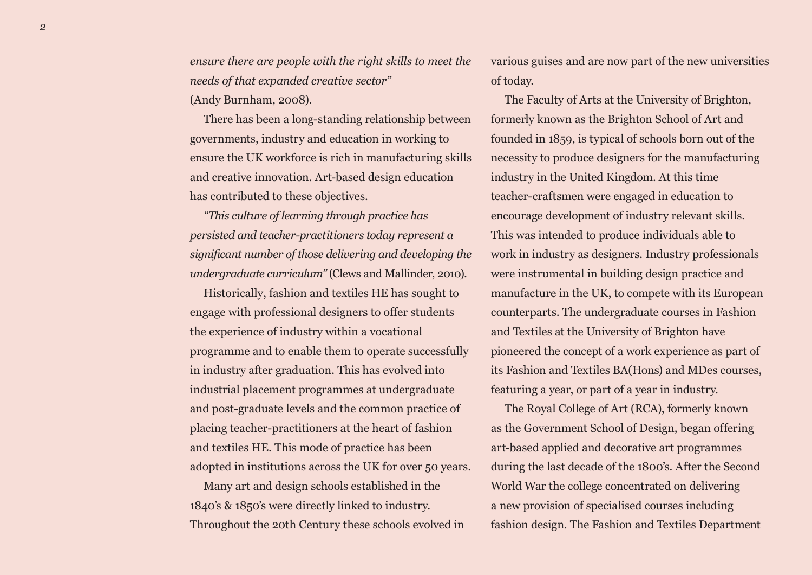*ensure there are people with the right skills to meet the needs of that expanded creative sector"* (Andy Burnham, 2008).

There has been a long-standing relationship between governments, industry and education in working to ensure the UK workforce is rich in manufacturing skills and creative innovation. Art-based design education has contributed to these objectives.

*"This culture of learning through practice has persisted and teacher-practitioners today represent a significant number of those delivering and developing the undergraduate curriculum"* (Clews and Mallinder, 2010).

Historically, fashion and textiles HE has sought to engage with professional designers to offer students the experience of industry within a vocational programme and to enable them to operate successfully in industry after graduation. This has evolved into industrial placement programmes at undergraduate and post-graduate levels and the common practice of placing teacher-practitioners at the heart of fashion and textiles HE. This mode of practice has been adopted in institutions across the UK for over 50 years.

Many art and design schools established in the 1840's & 1850's were directly linked to industry. Throughout the 20th Century these schools evolved in various guises and are now part of the new universities of today.

The Faculty of Arts at the University of Brighton, formerly known as the Brighton School of Art and founded in 1859, is typical of schools born out of the necessity to produce designers for the manufacturing industry in the United Kingdom. At this time teacher-craftsmen were engaged in education to encourage development of industry relevant skills. This was intended to produce individuals able to work in industry as designers. Industry professionals were instrumental in building design practice and manufacture in the UK, to compete with its European counterparts. The undergraduate courses in Fashion and Textiles at the University of Brighton have pioneered the concept of a work experience as part of its Fashion and Textiles BA(Hons) and MDes courses, featuring a year, or part of a year in industry.

The Royal College of Art (RCA), formerly known as the Government School of Design, began offering art-based applied and decorative art programmes during the last decade of the 1800's. After the Second World War the college concentrated on delivering a new provision of specialised courses including fashion design. The Fashion and Textiles Department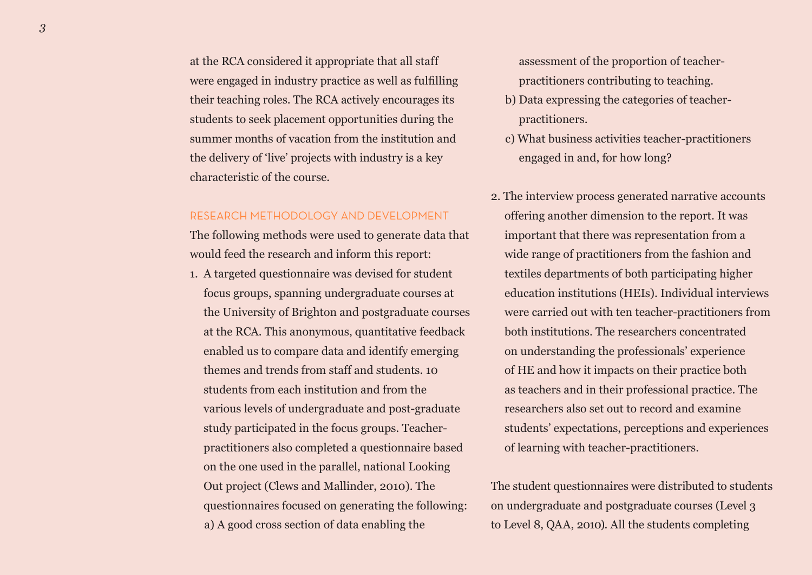at the RCA considered it appropriate that all staff were engaged in industry practice as well as fulfilling their teaching roles. The RCA actively encourages its students to seek placement opportunities during the summer months of vacation from the institution and the delivery of 'live' projects with industry is a key characteristic of the course.

## RESEARCH METHODOLOGY AND DEVELOPMENT

The following methods were used to generate data that would feed the research and inform this report:

1. A targeted questionnaire was devised for student focus groups, spanning undergraduate courses at the University of Brighton and postgraduate courses at the RCA. This anonymous, quantitative feedback enabled us to compare data and identify emerging themes and trends from staff and students. 10 students from each institution and from the various levels of undergraduate and post-graduate study participated in the focus groups. Teacherpractitioners also completed a questionnaire based on the one used in the parallel, national Looking Out project (Clews and Mallinder, 2010). The questionnaires focused on generating the following: a) A good cross section of data enabling the

assessment of the proportion of teacherpractitioners contributing to teaching.

- b) Data expressing the categories of teacherpractitioners.
- c) What business activities teacher-practitioners engaged in and, for how long?
- 2. The interview process generated narrative accounts offering another dimension to the report. It was important that there was representation from a wide range of practitioners from the fashion and textiles departments of both participating higher education institutions (HEIs). Individual interviews were carried out with ten teacher-practitioners from both institutions. The researchers concentrated on understanding the professionals' experience of HE and how it impacts on their practice both as teachers and in their professional practice. The researchers also set out to record and examine students' expectations, perceptions and experiences of learning with teacher-practitioners.

The student questionnaires were distributed to students on undergraduate and postgraduate courses (Level 3 to Level 8, QAA, 2010). All the students completing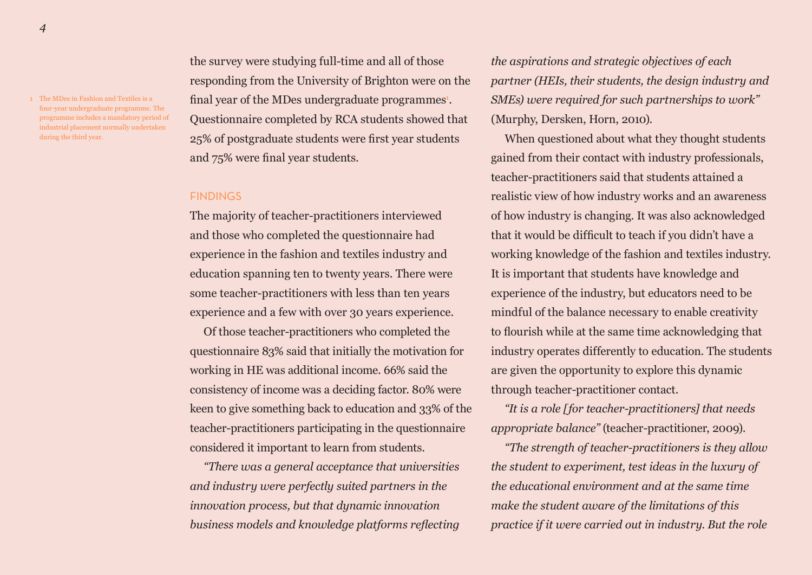1 The MDes in Fashion and Textiles is a four-year undergraduate programme. The programme includes a mandatory period of industrial placement normally undertaken during the third year.

the survey were studying full-time and all of those responding from the University of Brighton were on the final year of the MDes undergraduate programmes<sup>1</sup>. Questionnaire completed by RCA students showed that 25% of postgraduate students were first year students and 75% were final year students.

## **FINDINGS**

The majority of teacher-practitioners interviewed and those who completed the questionnaire had experience in the fashion and textiles industry and education spanning ten to twenty years. There were some teacher-practitioners with less than ten years experience and a few with over 30 years experience.

Of those teacher-practitioners who completed the questionnaire 83% said that initially the motivation for working in HE was additional income. 66% said the consistency of income was a deciding factor. 80% were keen to give something back to education and 33% of the teacher-practitioners participating in the questionnaire considered it important to learn from students.

*"There was a general acceptance that universities and industry were perfectly suited partners in the innovation process, but that dynamic innovation business models and knowledge platforms reflecting* 

*the aspirations and strategic objectives of each partner (HEIs, their students, the design industry and SMEs) were required for such partnerships to work"* (Murphy, Dersken, Horn, 2010).

When questioned about what they thought students gained from their contact with industry professionals, teacher-practitioners said that students attained a realistic view of how industry works and an awareness of how industry is changing. It was also acknowledged that it would be difficult to teach if you didn't have a working knowledge of the fashion and textiles industry. It is important that students have knowledge and experience of the industry, but educators need to be mindful of the balance necessary to enable creativity to flourish while at the same time acknowledging that industry operates differently to education. The students are given the opportunity to explore this dynamic through teacher-practitioner contact.

*"It is a role [for teacher-practitioners] that needs appropriate balance"* (teacher-practitioner, 2009).

*"The strength of teacher-practitioners is they allow the student to experiment, test ideas in the luxury of the educational environment and at the same time make the student aware of the limitations of this practice if it were carried out in industry. But the role*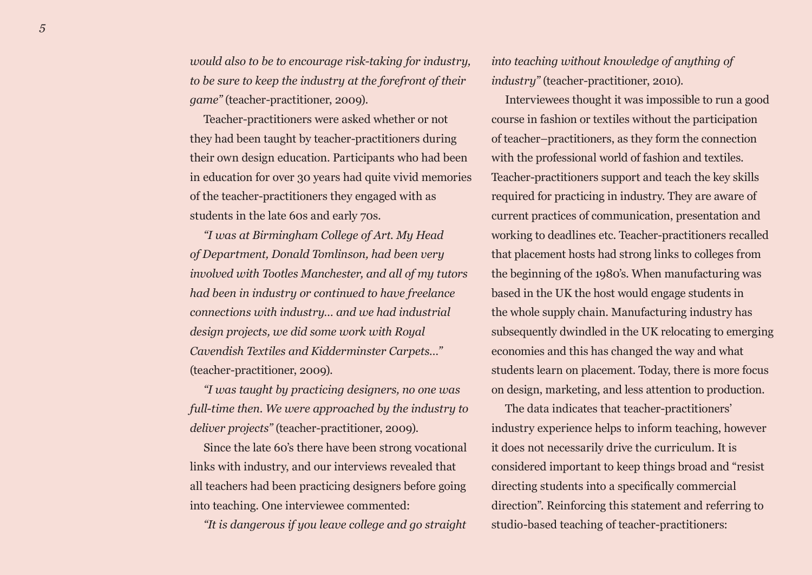*would also to be to encourage risk-taking for industry, to be sure to keep the industry at the forefront of their game"* (teacher-practitioner, 2009).

Teacher-practitioners were asked whether or not they had been taught by teacher-practitioners during their own design education. Participants who had been in education for over 30 years had quite vivid memories of the teacher-practitioners they engaged with as students in the late 60s and early 70s.

*"I was at Birmingham College of Art. My Head of Department, Donald Tomlinson, had been very involved with Tootles Manchester, and all of my tutors had been in industry or continued to have freelance connections with industry… and we had industrial design projects, we did some work with Royal Cavendish Textiles and Kidderminster Carpets…"* (teacher-practitioner, 2009).

*"I was taught by practicing designers, no one was full-time then. We were approached by the industry to deliver projects"* (teacher-practitioner, 2009).

Since the late 60's there have been strong vocational links with industry, and our interviews revealed that all teachers had been practicing designers before going into teaching. One interviewee commented:

*"It is dangerous if you leave college and go straight* 

*into teaching without knowledge of anything of industry"* (teacher-practitioner, 2010).

Interviewees thought it was impossible to run a good course in fashion or textiles without the participation of teacher–practitioners, as they form the connection with the professional world of fashion and textiles. Teacher-practitioners support and teach the key skills required for practicing in industry. They are aware of current practices of communication, presentation and working to deadlines etc. Teacher-practitioners recalled that placement hosts had strong links to colleges from the beginning of the 1980's. When manufacturing was based in the UK the host would engage students in the whole supply chain. Manufacturing industry has subsequently dwindled in the UK relocating to emerging economies and this has changed the way and what students learn on placement. Today, there is more focus on design, marketing, and less attention to production.

The data indicates that teacher-practitioners' industry experience helps to inform teaching, however it does not necessarily drive the curriculum. It is considered important to keep things broad and "resist directing students into a specifically commercial direction". Reinforcing this statement and referring to studio-based teaching of teacher-practitioners: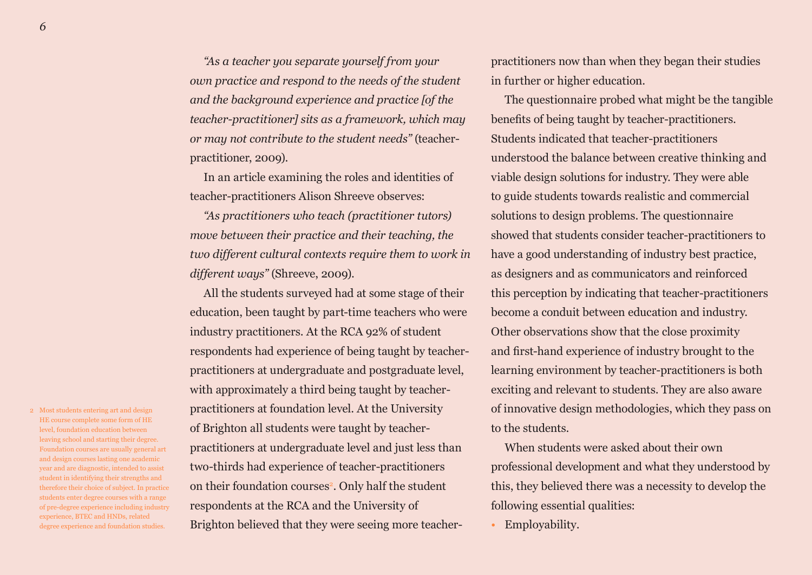*"As a teacher you separate yourself from your own practice and respond to the needs of the student and the background experience and practice [of the teacher-practitioner] sits as a framework, which may or may not contribute to the student needs"* (teacherpractitioner, 2009).

In an article examining the roles and identities of teacher-practitioners Alison Shreeve observes:

*"As practitioners who teach (practitioner tutors) move between their practice and their teaching, the two different cultural contexts require them to work in different ways"* (Shreeve, 2009).

All the students surveyed had at some stage of their education, been taught by part-time teachers who were industry practitioners. At the RCA 92% of student respondents had experience of being taught by teacherpractitioners at undergraduate and postgraduate level, with approximately a third being taught by teacherpractitioners at foundation level. At the University of Brighton all students were taught by teacherpractitioners at undergraduate level and just less than two-thirds had experience of teacher-practitioners on their foundation courses<sup>2</sup>. Only half the student respondents at the RCA and the University of Brighton believed that they were seeing more teacherpractitioners now than when they began their studies in further or higher education.

The questionnaire probed what might be the tangible benefits of being taught by teacher-practitioners. Students indicated that teacher-practitioners understood the balance between creative thinking and viable design solutions for industry. They were able to guide students towards realistic and commercial solutions to design problems. The questionnaire showed that students consider teacher-practitioners to have a good understanding of industry best practice, as designers and as communicators and reinforced this perception by indicating that teacher-practitioners become a conduit between education and industry. Other observations show that the close proximity and first-hand experience of industry brought to the learning environment by teacher-practitioners is both exciting and relevant to students. They are also aware of innovative design methodologies, which they pass on to the students.

When students were asked about their own professional development and what they understood by this, they believed there was a necessity to develop the following essential qualities:

• Employability.

2 Most students entering art and design HE course complete some form of HE level, foundation education between leaving school and starting their degree. Foundation courses are usually general art and design courses lasting one academic year and are diagnostic, intended to assist student in identifying their strengths and therefore their choice of subject. In practice students enter degree courses with a range of pre-degree experience including industry experience, BTEC and HNDs, related degree experience and foundation studies.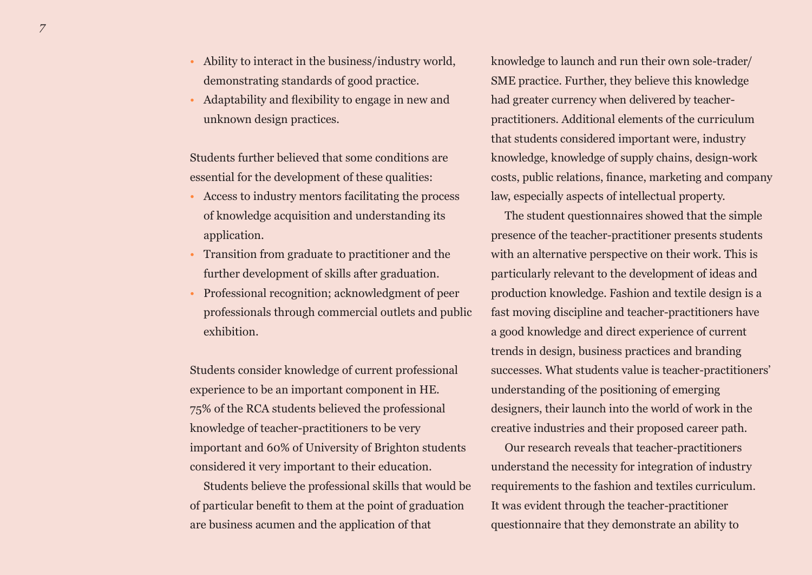*7*

- Ability to interact in the business/industry world, demonstrating standards of good practice.
- Adaptability and flexibility to engage in new and unknown design practices.

Students further believed that some conditions are essential for the development of these qualities:

- Access to industry mentors facilitating the process of knowledge acquisition and understanding its application.
- Transition from graduate to practitioner and the further development of skills after graduation.
- Professional recognition; acknowledgment of peer professionals through commercial outlets and public exhibition.

Students consider knowledge of current professional experience to be an important component in HE. 75% of the RCA students believed the professional knowledge of teacher-practitioners to be very important and 60% of University of Brighton students considered it very important to their education.

Students believe the professional skills that would be of particular benefit to them at the point of graduation are business acumen and the application of that

knowledge to launch and run their own sole-trader/ SME practice. Further, they believe this knowledge had greater currency when delivered by teacherpractitioners. Additional elements of the curriculum that students considered important were, industry knowledge, knowledge of supply chains, design-work costs, public relations, finance, marketing and company law, especially aspects of intellectual property.

The student questionnaires showed that the simple presence of the teacher-practitioner presents students with an alternative perspective on their work. This is particularly relevant to the development of ideas and production knowledge. Fashion and textile design is a fast moving discipline and teacher-practitioners have a good knowledge and direct experience of current trends in design, business practices and branding successes. What students value is teacher-practitioners' understanding of the positioning of emerging designers, their launch into the world of work in the creative industries and their proposed career path.

Our research reveals that teacher-practitioners understand the necessity for integration of industry requirements to the fashion and textiles curriculum. It was evident through the teacher-practitioner questionnaire that they demonstrate an ability to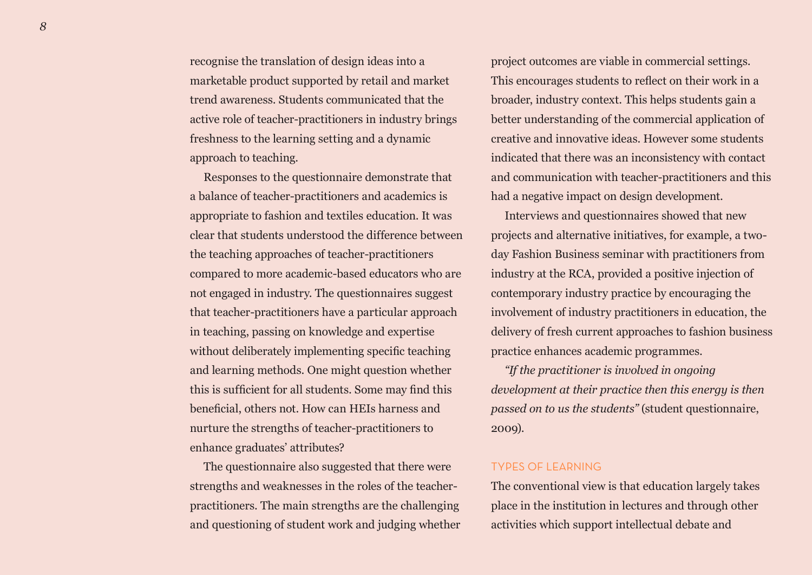recognise the translation of design ideas into a marketable product supported by retail and market trend awareness. Students communicated that the active role of teacher-practitioners in industry brings freshness to the learning setting and a dynamic approach to teaching.

Responses to the questionnaire demonstrate that a balance of teacher-practitioners and academics is appropriate to fashion and textiles education. It was clear that students understood the difference between the teaching approaches of teacher-practitioners compared to more academic-based educators who are not engaged in industry. The questionnaires suggest that teacher-practitioners have a particular approach in teaching, passing on knowledge and expertise without deliberately implementing specific teaching and learning methods. One might question whether this is sufficient for all students. Some may find this beneficial, others not. How can HEIs harness and nurture the strengths of teacher-practitioners to enhance graduates' attributes?

The questionnaire also suggested that there were strengths and weaknesses in the roles of the teacherpractitioners. The main strengths are the challenging and questioning of student work and judging whether project outcomes are viable in commercial settings. This encourages students to reflect on their work in a broader, industry context. This helps students gain a better understanding of the commercial application of creative and innovative ideas. However some students indicated that there was an inconsistency with contact and communication with teacher-practitioners and this had a negative impact on design development.

Interviews and questionnaires showed that new projects and alternative initiatives, for example, a twoday Fashion Business seminar with practitioners from industry at the RCA, provided a positive injection of contemporary industry practice by encouraging the involvement of industry practitioners in education, the delivery of fresh current approaches to fashion business practice enhances academic programmes.

*"If the practitioner is involved in ongoing development at their practice then this energy is then passed on to us the students"* (student questionnaire, 2009).

## TYPES OF LEARNING

The conventional view is that education largely takes place in the institution in lectures and through other activities which support intellectual debate and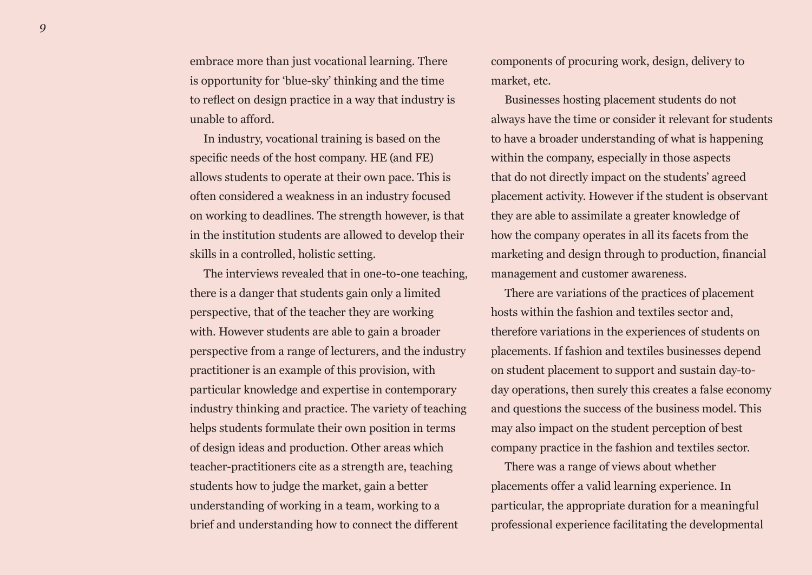embrace more than just vocational learning. There is opportunity for 'blue-sky' thinking and the time to reflect on design practice in a way that industry is unable to afford.

In industry, vocational training is based on the specific needs of the host company. HE (and FE) allows students to operate at their own pace. This is often considered a weakness in an industry focused on working to deadlines. The strength however, is that in the institution students are allowed to develop their skills in a controlled, holistic setting.

The interviews revealed that in one-to-one teaching, there is a danger that students gain only a limited perspective, that of the teacher they are working with. However students are able to gain a broader perspective from a range of lecturers, and the industry practitioner is an example of this provision, with particular knowledge and expertise in contemporary industry thinking and practice. The variety of teaching helps students formulate their own position in terms of design ideas and production. Other areas which teacher-practitioners cite as a strength are, teaching students how to judge the market, gain a better understanding of working in a team, working to a brief and understanding how to connect the different

components of procuring work, design, delivery to market, etc.

Businesses hosting placement students do not always have the time or consider it relevant for students to have a broader understanding of what is happening within the company, especially in those aspects that do not directly impact on the students' agreed placement activity. However if the student is observant they are able to assimilate a greater knowledge of how the company operates in all its facets from the marketing and design through to production, financial management and customer awareness.

There are variations of the practices of placement hosts within the fashion and textiles sector and, therefore variations in the experiences of students on placements. If fashion and textiles businesses depend on student placement to support and sustain day-today operations, then surely this creates a false economy and questions the success of the business model. This may also impact on the student perception of best company practice in the fashion and textiles sector.

There was a range of views about whether placements offer a valid learning experience. In particular, the appropriate duration for a meaningful professional experience facilitating the developmental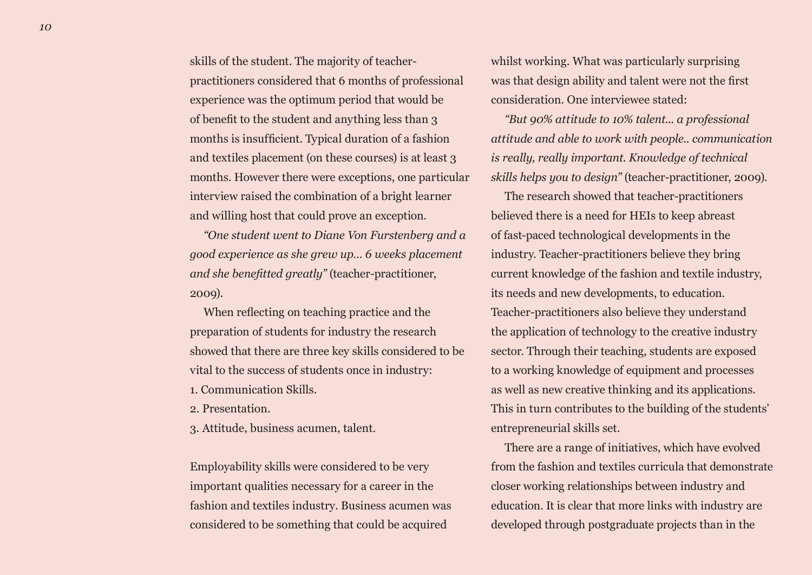skills of the student. The majority of teacherpractitioners considered that 6 months of professional experience was the optimum period that would be of benefit to the student and anything less than 3 months is insufficient. Typical duration of a fashion and textiles placement (on these courses) is at least 3 months. However there were exceptions, one particular interview raised the combination of a bright learner and willing host that could prove an exception.

*"One student went to Diane Von Furstenberg and a good experience as she grew up… 6 weeks placement and she benefitted greatly"* (teacher-practitioner, 2009).

When reflecting on teaching practice and the preparation of students for industry the research showed that there are three key skills considered to be vital to the success of students once in industry:

- 1. Communication Skills.
- 2. Presentation.
- 3. Attitude, business acumen, talent.

Employability skills were considered to be very important qualities necessary for a career in the fashion and textiles industry. Business acumen was considered to be something that could be acquired

whilst working. What was particularly surprising was that design ability and talent were not the first consideration. One interviewee stated:

*"But 90% attitude to 10% talent... a professional attitude and able to work with people.. communication is really, really important. Knowledge of technical skills helps you to design"* (teacher-practitioner, 2009).

The research showed that teacher-practitioners believed there is a need for HEIs to keep abreast of fast-paced technological developments in the industry. Teacher-practitioners believe they bring current knowledge of the fashion and textile industry, its needs and new developments, to education. Teacher-practitioners also believe they understand the application of technology to the creative industry sector. Through their teaching, students are exposed to a working knowledge of equipment and processes as well as new creative thinking and its applications. This in turn contributes to the building of the students' entrepreneurial skills set.

There are a range of initiatives, which have evolved from the fashion and textiles curricula that demonstrate closer working relationships between industry and education. It is clear that more links with industry are developed through postgraduate projects than in the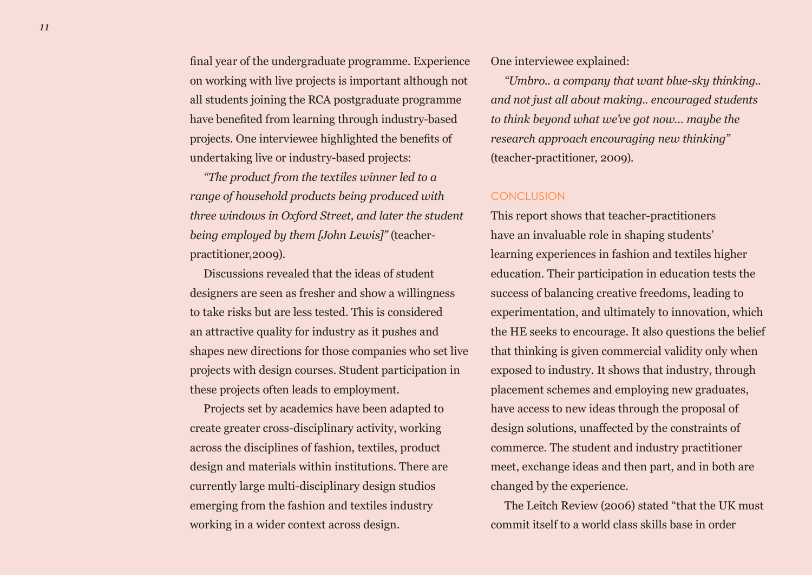final year of the undergraduate programme. Experience on working with live projects is important although not all students joining the RCA postgraduate programme have benefited from learning through industry-based projects. One interviewee highlighted the benefits of undertaking live or industry-based projects:

*"The product from the textiles winner led to a range of household products being produced with three windows in Oxford Street, and later the student being employed by them [John Lewis]"* (teacherpractitioner,2009).

Discussions revealed that the ideas of student designers are seen as fresher and show a willingness to take risks but are less tested. This is considered an attractive quality for industry as it pushes and shapes new directions for those companies who set live projects with design courses. Student participation in these projects often leads to employment.

Projects set by academics have been adapted to create greater cross-disciplinary activity, working across the disciplines of fashion, textiles, product design and materials within institutions. There are currently large multi-disciplinary design studios emerging from the fashion and textiles industry working in a wider context across design.

One interviewee explained:

*"Umbro.. a company that want blue-sky thinking.. and not just all about making.. encouraged students to think beyond what we've got now… maybe the research approach encouraging new thinking"* (teacher-practitioner, 2009).

## **CONCLUSION**

This report shows that teacher-practitioners have an invaluable role in shaping students' learning experiences in fashion and textiles higher education. Their participation in education tests the success of balancing creative freedoms, leading to experimentation, and ultimately to innovation, which the HE seeks to encourage. It also questions the belief that thinking is given commercial validity only when exposed to industry. It shows that industry, through placement schemes and employing new graduates, have access to new ideas through the proposal of design solutions, unaffected by the constraints of commerce. The student and industry practitioner meet, exchange ideas and then part, and in both are changed by the experience.

The Leitch Review (2006) stated "that the UK must commit itself to a world class skills base in order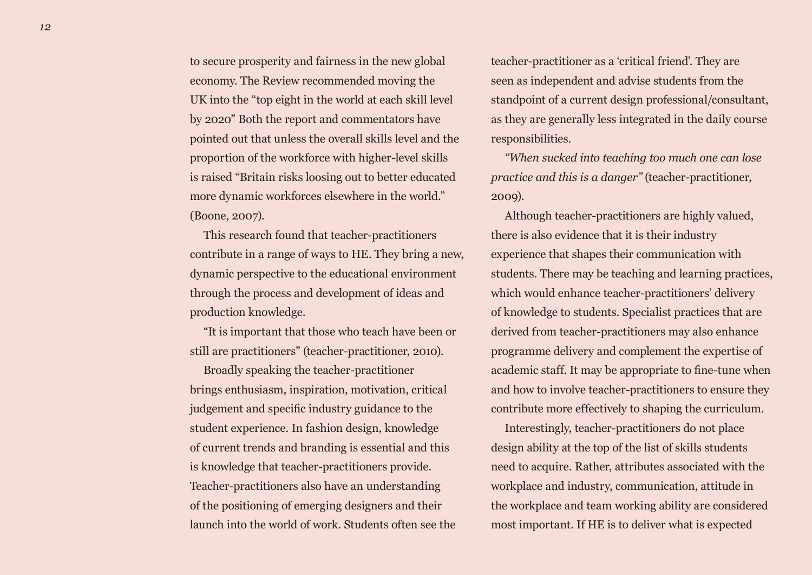to secure prosperity and fairness in the new global economy. The Review recommended moving the UK into the "top eight in the world at each skill level by 2020" Both the report and commentators have pointed out that unless the overall skills level and the proportion of the workforce with higher-level skills is raised "Britain risks loosing out to better educated more dynamic workforces elsewhere in the world." (Boone, 2007).

This research found that teacher-practitioners contribute in a range of ways to HE. They bring a new, dynamic perspective to the educational environment through the process and development of ideas and production knowledge.

"It is important that those who teach have been or still are practitioners" (teacher-practitioner, 2010).

Broadly speaking the teacher-practitioner brings enthusiasm, inspiration, motivation, critical judgement and specific industry guidance to the student experience. In fashion design, knowledge of current trends and branding is essential and this is knowledge that teacher-practitioners provide. Teacher-practitioners also have an understanding of the positioning of emerging designers and their launch into the world of work. Students often see the teacher-practitioner as a 'critical friend'. They are seen as independent and advise students from the standpoint of a current design professional/consultant, as they are generally less integrated in the daily course responsibilities.

*"When sucked into teaching too much one can lose practice and this is a danger"* (teacher-practitioner, 2009).

Although teacher-practitioners are highly valued, there is also evidence that it is their industry experience that shapes their communication with students. There may be teaching and learning practices, which would enhance teacher-practitioners' delivery of knowledge to students. Specialist practices that are derived from teacher-practitioners may also enhance programme delivery and complement the expertise of academic staff. It may be appropriate to fine-tune when and how to involve teacher-practitioners to ensure they contribute more effectively to shaping the curriculum.

Interestingly, teacher-practitioners do not place design ability at the top of the list of skills students need to acquire. Rather, attributes associated with the workplace and industry, communication, attitude in the workplace and team working ability are considered most important. If HE is to deliver what is expected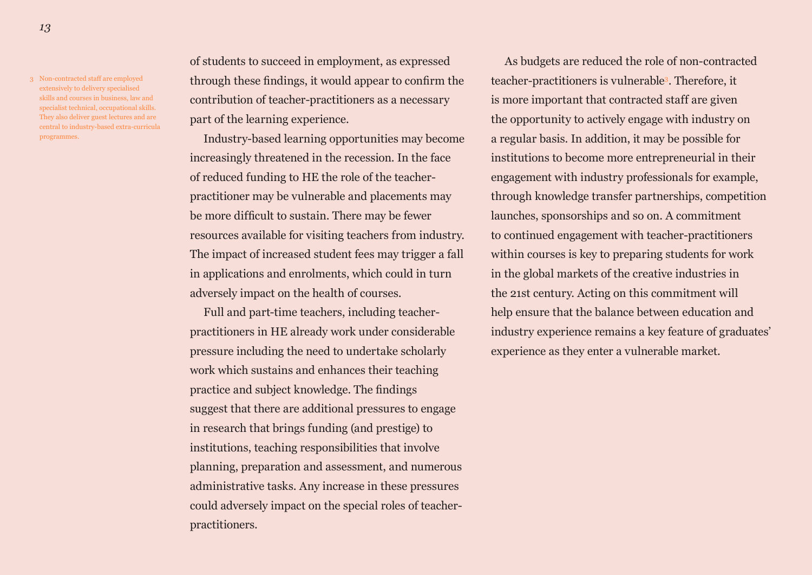3 Non-contracted staff are employed extensively to delivery specialised skills and courses in business, law and specialist technical, occupational skills. They also deliver guest lectures and are central to industry-based extra-curricula programmes.

of students to succeed in employment, as expressed through these findings, it would appear to confirm the contribution of teacher-practitioners as a necessary part of the learning experience.

Industry-based learning opportunities may become increasingly threatened in the recession. In the face of reduced funding to HE the role of the teacherpractitioner may be vulnerable and placements may be more difficult to sustain. There may be fewer resources available for visiting teachers from industry. The impact of increased student fees may trigger a fall in applications and enrolments, which could in turn adversely impact on the health of courses.

Full and part-time teachers, including teacherpractitioners in HE already work under considerable pressure including the need to undertake scholarly work which sustains and enhances their teaching practice and subject knowledge. The findings suggest that there are additional pressures to engage in research that brings funding (and prestige) to institutions, teaching responsibilities that involve planning, preparation and assessment, and numerous administrative tasks. Any increase in these pressures could adversely impact on the special roles of teacherpractitioners.

As budgets are reduced the role of non-contracted teacher-practitioners is vulnerable3. Therefore, it is more important that contracted staff are given the opportunity to actively engage with industry on a regular basis. In addition, it may be possible for institutions to become more entrepreneurial in their engagement with industry professionals for example, through knowledge transfer partnerships, competition launches, sponsorships and so on. A commitment to continued engagement with teacher-practitioners within courses is key to preparing students for work in the global markets of the creative industries in the 21st century. Acting on this commitment will help ensure that the balance between education and industry experience remains a key feature of graduates' experience as they enter a vulnerable market.